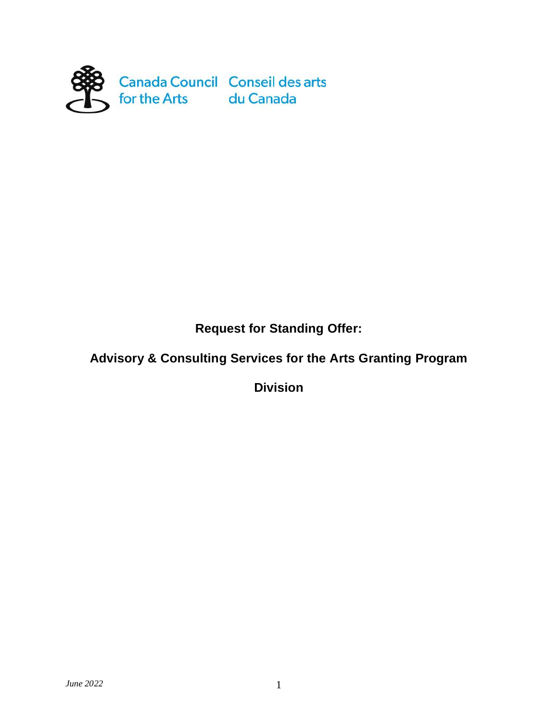

**Request for Standing Offer:** 

# **Advisory & Consulting Services for the Arts Granting Program**

**Division**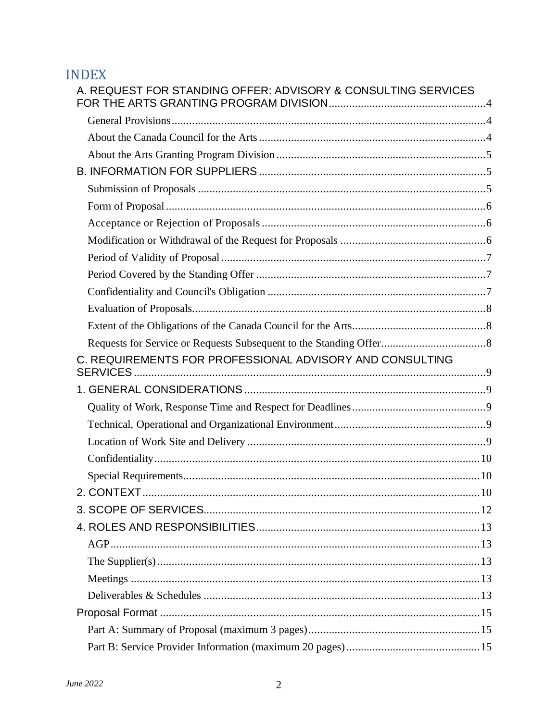# **INDEX**

| A. REQUEST FOR STANDING OFFER: ADVISORY & CONSULTING SERVICES |  |
|---------------------------------------------------------------|--|
|                                                               |  |
|                                                               |  |
|                                                               |  |
|                                                               |  |
|                                                               |  |
|                                                               |  |
|                                                               |  |
|                                                               |  |
|                                                               |  |
|                                                               |  |
|                                                               |  |
|                                                               |  |
|                                                               |  |
|                                                               |  |
| C. REQUIREMENTS FOR PROFESSIONAL ADVISORY AND CONSULTING      |  |
|                                                               |  |
|                                                               |  |
|                                                               |  |
|                                                               |  |
|                                                               |  |
|                                                               |  |
|                                                               |  |
|                                                               |  |
|                                                               |  |
|                                                               |  |
|                                                               |  |
|                                                               |  |
|                                                               |  |
|                                                               |  |
|                                                               |  |
|                                                               |  |
|                                                               |  |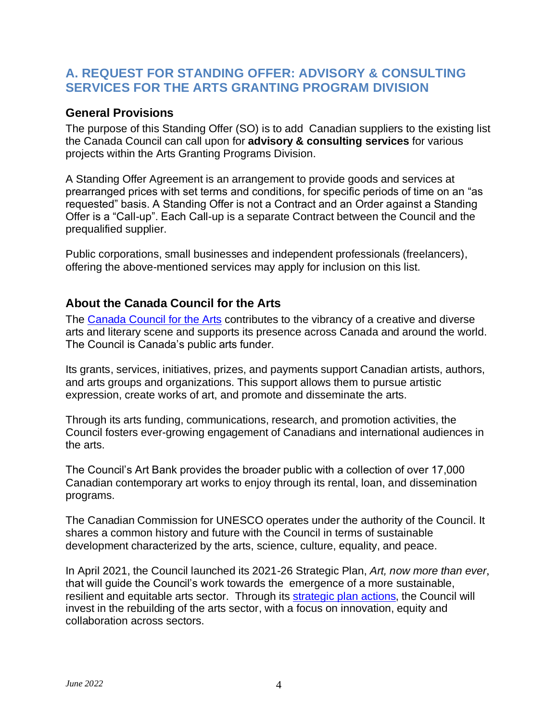### <span id="page-3-0"></span>**A. REQUEST FOR STANDING OFFER: ADVISORY & CONSULTING SERVICES FOR THE ARTS GRANTING PROGRAM DIVISION**

#### <span id="page-3-1"></span>**General Provisions**

The purpose of this Standing Offer (SO) is to add Canadian suppliers to the existing list the Canada Council can call upon for **advisory & consulting services** for various projects within the Arts Granting Programs Division.

A Standing Offer Agreement is an arrangement to provide goods and services at prearranged prices with set terms and conditions, for specific periods of time on an "as requested" basis. A Standing Offer is not a Contract and an Order against a Standing Offer is a "Call-up". Each Call-up is a separate Contract between the Council and the prequalified supplier.

Public corporations, small businesses and independent professionals (freelancers), offering the above-mentioned services may apply for inclusion on this list.

#### <span id="page-3-2"></span>**About the Canada Council for the Arts**

The [Canada Council for the Arts](https://canadacouncil.ca/) contributes to the vibrancy of a creative and diverse arts and literary scene and supports its presence across Canada and around the world. The Council is Canada's public arts funder.

Its grants, services, initiatives, prizes, and payments support Canadian artists, authors, and arts groups and organizations. This support allows them to pursue artistic expression, create works of art, and promote and disseminate the arts.

Through its arts funding, communications, research, and promotion activities, the Council fosters ever-growing engagement of Canadians and international audiences in the arts.

The Council's Art Bank provides the broader public with a collection of over 17,000 Canadian contemporary art works to enjoy through its rental, loan, and dissemination programs.

The Canadian Commission for UNESCO operates under the authority of the Council. It shares a common history and future with the Council in terms of sustainable development characterized by the arts, science, culture, equality, and peace.

In April 2021, the Council launched its 2021-26 Strategic Plan, *[Art, now more than ever](https://canadacouncil.ca/about/governance/strategic-plans)*, that will guide the Council's work towards the emergence of a more sustainable, resilient and equitable arts sector. Through its [strategic plan actions,](https://canadacouncilca-my.sharepoint.com/personal/dbelange_canadacouncil_ca/Documents/AGP%20Master%20Standing%20Offer/strategic%20plan%20actions) the Council will invest in the rebuilding of the arts sector, with a focus on innovation, equity and collaboration across sectors.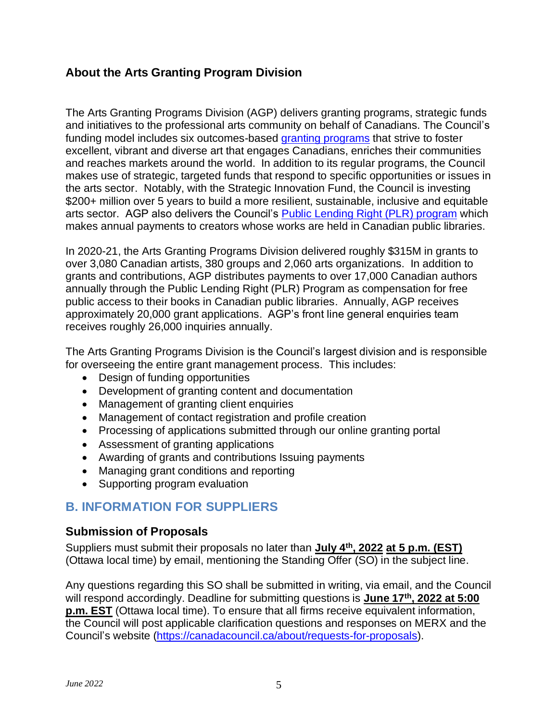### <span id="page-4-0"></span>**About the Arts Granting Program Division**

The Arts Granting Programs Division (AGP) delivers granting programs, strategic funds and initiatives to the professional arts community on behalf of Canadians. The Council's funding model includes six outcomes-based [granting programs](https://canadacouncil.ca/funding/grants) that strive to foster excellent, vibrant and diverse art that engages Canadians, enriches their communities and reaches markets around the world. In addition to its regular programs, the Council makes use of strategic, targeted funds that respond to specific opportunities or issues in the arts sector. Notably, with the Strategic Innovation Fund, the Council is investing \$200+ million over 5 years to build a more resilient, sustainable, inclusive and equitable arts sector. AGP also delivers the Council's [Public Lending Right \(PLR\) program](https://publiclendingright.ca/) which makes annual payments to creators whose works are held in Canadian public libraries.

In 2020-21, the Arts Granting Programs Division delivered roughly \$315M in grants to over 3,080 Canadian artists, 380 groups and 2,060 arts organizations. In addition to grants and contributions, AGP distributes payments to over 17,000 Canadian authors annually through the Public Lending Right (PLR) Program as compensation for free public access to their books in Canadian public libraries. Annually, AGP receives approximately 20,000 grant applications. AGP's front line general enquiries team receives roughly 26,000 inquiries annually.

The Arts Granting Programs Division is the Council's largest division and is responsible for overseeing the entire grant management process. This includes:

- Design of funding opportunities
- Development of granting content and documentation
- Management of granting client enquiries
- Management of contact registration and profile creation
- Processing of applications submitted through our online granting portal
- Assessment of granting applications
- Awarding of grants and contributions Issuing payments
- Managing grant conditions and reporting
- Supporting program evaluation

## <span id="page-4-1"></span>**B. INFORMATION FOR SUPPLIERS**

#### <span id="page-4-2"></span>**Submission of Proposals**

Suppliers must submit their proposals no later than **July 4th, 2022 at 5 p.m. (EST)**  (Ottawa local time) by email, mentioning the Standing Offer (SO) in the subject line.

Any questions regarding this SO shall be submitted in writing, via email, and the Council will respond accordingly. Deadline for submitting questions is **June 17th, 2022 at 5:00 p.m. EST** (Ottawa local time). To ensure that all firms receive equivalent information, the Council will post applicable clarification questions and responses on MERX and the Council's website [\(https://canadacouncil.ca/about/requests-for-proposals\)](https://canadacouncil.ca/about/requests-for-proposals).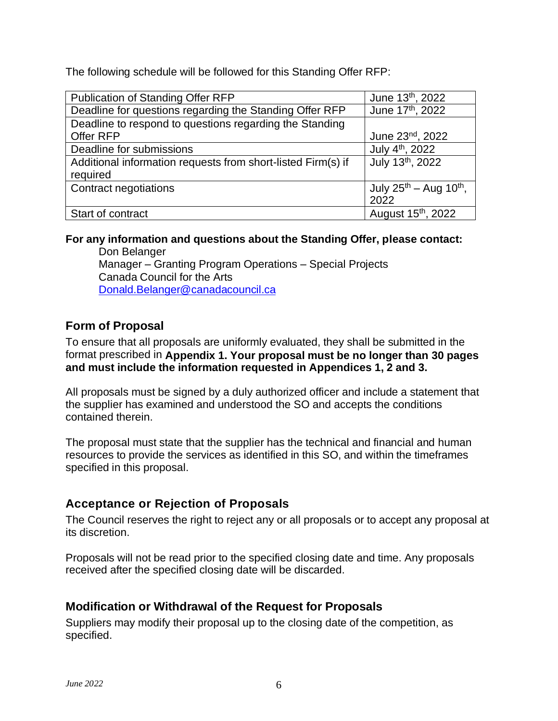The following schedule will be followed for this Standing Offer RFP:

| Publication of Standing Offer RFP                            | June 13th, 2022                         |
|--------------------------------------------------------------|-----------------------------------------|
| Deadline for questions regarding the Standing Offer RFP      | June 17th, 2022                         |
| Deadline to respond to questions regarding the Standing      |                                         |
| Offer RFP                                                    | June 23nd, 2022                         |
| Deadline for submissions                                     | July 4 <sup>th</sup> , 2022             |
| Additional information requests from short-listed Firm(s) if | July 13th, 2022                         |
| required                                                     |                                         |
| Contract negotiations                                        | July $25^{th}$ – Aug 10 <sup>th</sup> , |
|                                                              | 2022                                    |
| Start of contract                                            | August 15 <sup>th</sup> , 2022          |

#### **For any information and questions about the Standing Offer, please contact:**

Don Belanger Manager – Granting Program Operations – Special Projects Canada Council for the Arts [Donald.Belanger@canadacouncil.ca](mailto:Donald.Belanger@canadacouncil.ca)

### <span id="page-5-0"></span>**Form of Proposal**

To ensure that all proposals are uniformly evaluated, they shall be submitted in the format prescribed in **Appendix 1. Your proposal must be no longer than 30 pages and must include the information requested in Appendices 1, 2 and 3.**

All proposals must be signed by a duly authorized officer and include a statement that the supplier has examined and understood the SO and accepts the conditions contained therein.

The proposal must state that the supplier has the technical and financial and human resources to provide the services as identified in this SO, and within the timeframes specified in this proposal.

### <span id="page-5-1"></span>**Acceptance or Rejection of Proposals**

The Council reserves the right to reject any or all proposals or to accept any proposal at its discretion.

Proposals will not be read prior to the specified closing date and time. Any proposals received after the specified closing date will be discarded.

### <span id="page-5-2"></span>**Modification or Withdrawal of the Request for Proposals**

Suppliers may modify their proposal up to the closing date of the competition, as specified.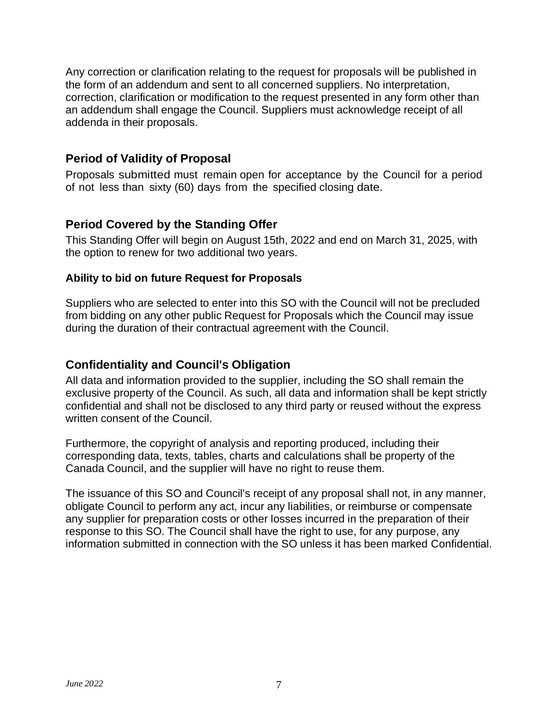Any correction or clarification relating to the request for proposals will be published in the form of an addendum and sent to all concerned suppliers. No interpretation, correction, clarification or modification to the request presented in any form other than an addendum shall engage the Council. Suppliers must acknowledge receipt of all addenda in their proposals.

#### <span id="page-6-0"></span>**Period of Validity of Proposal**

Proposals submitted must remain open for acceptance by the Council for a period of not less than sixty (60) days from the specified closing date.

#### <span id="page-6-1"></span>**Period Covered by the Standing Offer**

This Standing Offer will begin on August 15th, 2022 and end on March 31, 2025, with the option to renew for two additional two years.

#### **Ability to bid on future Request for Proposals**

Suppliers who are selected to enter into this SO with the Council will not be precluded from bidding on any other public Request for Proposals which the Council may issue during the duration of their contractual agreement with the Council.

#### <span id="page-6-2"></span>**Confidentiality and Council's Obligation**

All data and information provided to the supplier, including the SO shall remain the exclusive property of the Council. As such, all data and information shall be kept strictly confidential and shall not be disclosed to any third party or reused without the express written consent of the Council.

Furthermore, the copyright of analysis and reporting produced, including their corresponding data, texts, tables, charts and calculations shall be property of the Canada Council, and the supplier will have no right to reuse them.

The issuance of this SO and Council's receipt of any proposal shall not, in any manner, obligate Council to perform any act, incur any liabilities, or reimburse or compensate any supplier for preparation costs or other losses incurred in the preparation of their response to this SO. The Council shall have the right to use, for any purpose, any information submitted in connection with the SO unless it has been marked Confidential.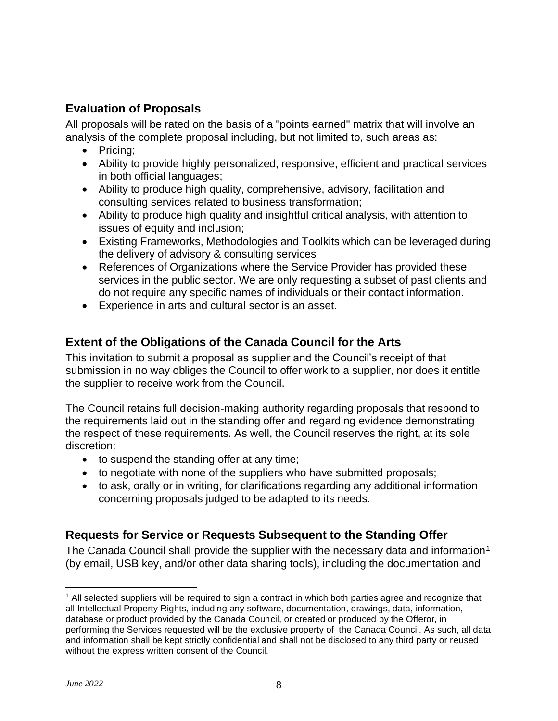## <span id="page-7-0"></span>**Evaluation of Proposals**

All proposals will be rated on the basis of a "points earned" matrix that will involve an analysis of the complete proposal including, but not limited to, such areas as:

- Pricing;
- Ability to provide highly personalized, responsive, efficient and practical services in both official languages;
- Ability to produce high quality, comprehensive, advisory, facilitation and consulting services related to business transformation;
- Ability to produce high quality and insightful critical analysis, with attention to issues of equity and inclusion;
- Existing Frameworks, Methodologies and Toolkits which can be leveraged during the delivery of advisory & consulting services
- References of Organizations where the Service Provider has provided these services in the public sector. We are only requesting a subset of past clients and do not require any specific names of individuals or their contact information.
- Experience in arts and cultural sector is an asset.

### <span id="page-7-1"></span>**Extent of the Obligations of the Canada Council for the Arts**

This invitation to submit a proposal as supplier and the Council's receipt of that submission in no way obliges the Council to offer work to a supplier, nor does it entitle the supplier to receive work from the Council.

The Council retains full decision-making authority regarding proposals that respond to the requirements laid out in the standing offer and regarding evidence demonstrating the respect of these requirements. As well, the Council reserves the right, at its sole discretion:

- to suspend the standing offer at any time;
- to negotiate with none of the suppliers who have submitted proposals;
- to ask, orally or in writing, for clarifications regarding any additional information concerning proposals judged to be adapted to its needs.

### <span id="page-7-2"></span>**Requests for Service or Requests Subsequent to the Standing Offer**

The Canada Council shall provide the supplier with the necessary data and information<sup>1</sup> (by email, USB key, and/or other data sharing tools), including the documentation and

<sup>&</sup>lt;sup>1</sup> All selected suppliers will be required to sign a contract in which both parties agree and recognize that all Intellectual Property Rights, including any software, documentation, drawings, data, information, database or product provided by the Canada Council, or created or produced by the Offeror, in performing the Services requested will be the exclusive property of the Canada Council. As such, all data and information shall be kept strictly confidential and shall not be disclosed to any third party or reused without the express written consent of the Council.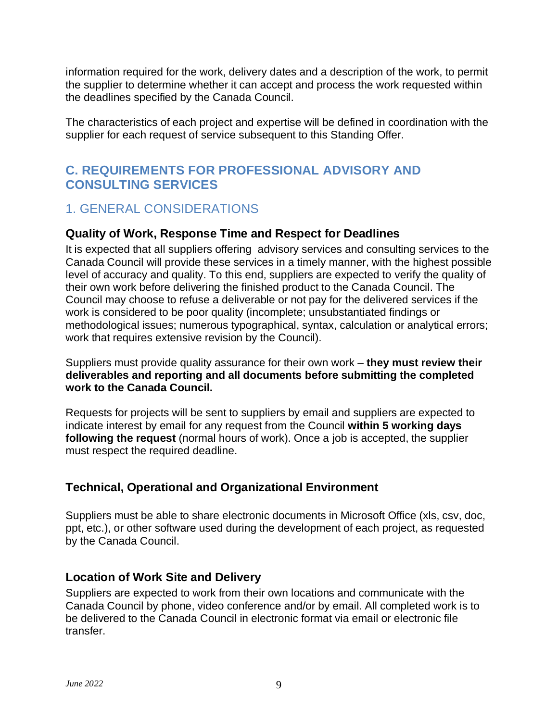information required for the work, delivery dates and a description of the work, to permit the supplier to determine whether it can accept and process the work requested within the deadlines specified by the Canada Council.

The characteristics of each project and expertise will be defined in coordination with the supplier for each request of service subsequent to this Standing Offer.

## <span id="page-8-0"></span>**C. REQUIREMENTS FOR PROFESSIONAL ADVISORY AND CONSULTING SERVICES**

## <span id="page-8-1"></span>1. GENERAL CONSIDERATIONS

### <span id="page-8-2"></span>**Quality of Work, Response Time and Respect for Deadlines**

It is expected that all suppliers offering advisory services and consulting services to the Canada Council will provide these services in a timely manner, with the highest possible level of accuracy and quality. To this end, suppliers are expected to verify the quality of their own work before delivering the finished product to the Canada Council. The Council may choose to refuse a deliverable or not pay for the delivered services if the work is considered to be poor quality (incomplete; unsubstantiated findings or methodological issues; numerous typographical, syntax, calculation or analytical errors; work that requires extensive revision by the Council).

Suppliers must provide quality assurance for their own work – **they must review their deliverables and reporting and all documents before submitting the completed work to the Canada Council.**

Requests for projects will be sent to suppliers by email and suppliers are expected to indicate interest by email for any request from the Council **within 5 working days following the request** (normal hours of work). Once a job is accepted, the supplier must respect the required deadline.

## <span id="page-8-3"></span>**Technical, Operational and Organizational Environment**

Suppliers must be able to share electronic documents in Microsoft Office (xls, csv, doc, ppt, etc.), or other software used during the development of each project, as requested by the Canada Council.

### <span id="page-8-4"></span>**Location of Work Site and Delivery**

Suppliers are expected to work from their own locations and communicate with the Canada Council by phone, video conference and/or by email. All completed work is to be delivered to the Canada Council in electronic format via email or electronic file transfer.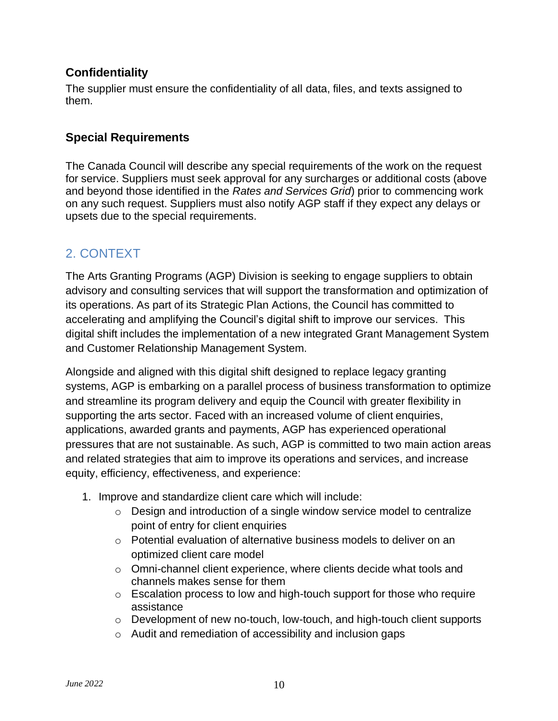#### <span id="page-9-0"></span>**Confidentiality**

The supplier must ensure the confidentiality of all data, files, and texts assigned to them.

#### <span id="page-9-1"></span>**Special Requirements**

The Canada Council will describe any special requirements of the work on the request for service. Suppliers must seek approval for any surcharges or additional costs (above and beyond those identified in the *Rates and Services Grid*) prior to commencing work on any such request. Suppliers must also notify AGP staff if they expect any delays or upsets due to the special requirements.

## <span id="page-9-2"></span>2. CONTEXT

The Arts Granting Programs (AGP) Division is seeking to engage suppliers to obtain advisory and consulting services that will support the transformation and optimization of its operations. As part of its Strategic Plan Actions, the Council has committed to accelerating and amplifying the Council's digital shift to improve our services. This digital shift includes the implementation of a new integrated Grant Management System and Customer Relationship Management System.

Alongside and aligned with this digital shift designed to replace legacy granting systems, AGP is embarking on a parallel process of business transformation to optimize and streamline its program delivery and equip the Council with greater flexibility in supporting the arts sector. Faced with an increased volume of client enquiries, applications, awarded grants and payments, AGP has experienced operational pressures that are not sustainable. As such, AGP is committed to two main action areas and related strategies that aim to improve its operations and services, and increase equity, efficiency, effectiveness, and experience:

- 1. Improve and standardize client care which will include:
	- o Design and introduction of a single window service model to centralize point of entry for client enquiries
	- o Potential evaluation of alternative business models to deliver on an optimized client care model
	- $\circ$  Omni-channel client experience, where clients decide what tools and channels makes sense for them
	- o Escalation process to low and high-touch support for those who require assistance
	- o Development of new no-touch, low-touch, and high-touch client supports
	- o Audit and remediation of accessibility and inclusion gaps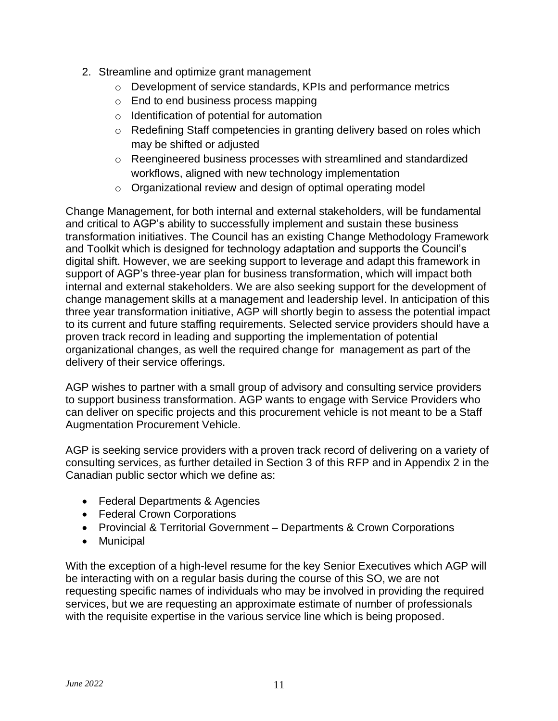- 2. Streamline and optimize grant management
	- o Development of service standards, KPIs and performance metrics
	- o End to end business process mapping
	- o Identification of potential for automation
	- o Redefining Staff competencies in granting delivery based on roles which may be shifted or adjusted
	- o Reengineered business processes with streamlined and standardized workflows, aligned with new technology implementation
	- $\circ$  Organizational review and design of optimal operating model

Change Management, for both internal and external stakeholders, will be fundamental and critical to AGP's ability to successfully implement and sustain these business transformation initiatives. The Council has an existing Change Methodology Framework and Toolkit which is designed for technology adaptation and supports the Council's digital shift. However, we are seeking support to leverage and adapt this framework in support of AGP's three-year plan for business transformation, which will impact both internal and external stakeholders. We are also seeking support for the development of change management skills at a management and leadership level. In anticipation of this three year transformation initiative, AGP will shortly begin to assess the potential impact to its current and future staffing requirements. Selected service providers should have a proven track record in leading and supporting the implementation of potential organizational changes, as well the required change for management as part of the delivery of their service offerings.

AGP wishes to partner with a small group of advisory and consulting service providers to support business transformation. AGP wants to engage with Service Providers who can deliver on specific projects and this procurement vehicle is not meant to be a Staff Augmentation Procurement Vehicle.

AGP is seeking service providers with a proven track record of delivering on a variety of consulting services, as further detailed in Section 3 of this RFP and in Appendix 2 in the Canadian public sector which we define as:

- Federal Departments & Agencies
- Federal Crown Corporations
- Provincial & Territorial Government Departments & Crown Corporations
- Municipal

With the exception of a high-level resume for the key Senior Executives which AGP will be interacting with on a regular basis during the course of this SO, we are not requesting specific names of individuals who may be involved in providing the required services, but we are requesting an approximate estimate of number of professionals with the requisite expertise in the various service line which is being proposed.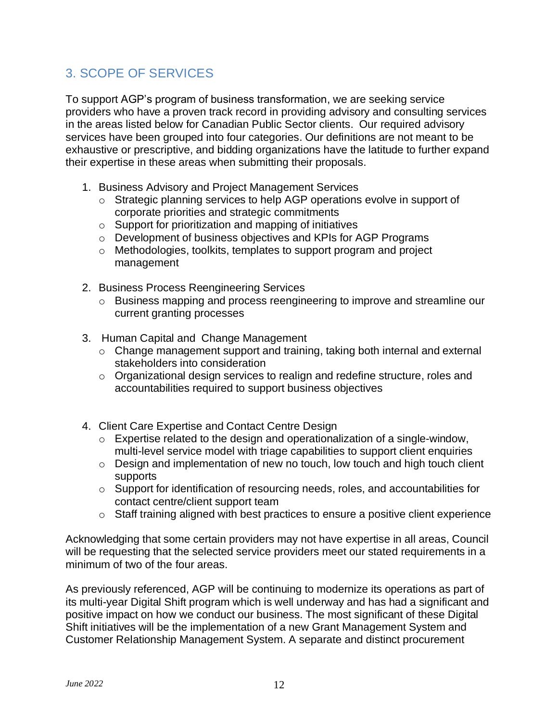# <span id="page-11-0"></span>3. SCOPE OF SERVICES

To support AGP's program of business transformation, we are seeking service providers who have a proven track record in providing advisory and consulting services in the areas listed below for Canadian Public Sector clients. Our required advisory services have been grouped into four categories. Our definitions are not meant to be exhaustive or prescriptive, and bidding organizations have the latitude to further expand their expertise in these areas when submitting their proposals.

- 1. Business Advisory and Project Management Services
	- o Strategic planning services to help AGP operations evolve in support of corporate priorities and strategic commitments
	- o Support for prioritization and mapping of initiatives
	- o Development of business objectives and KPIs for AGP Programs
	- o Methodologies, toolkits, templates to support program and project management
- 2. Business Process Reengineering Services
	- o Business mapping and process reengineering to improve and streamline our current granting processes
- 3. Human Capital and Change Management
	- o Change management support and training, taking both internal and external stakeholders into consideration
	- o Organizational design services to realign and redefine structure, roles and accountabilities required to support business objectives
- 4. Client Care Expertise and Contact Centre Design
	- o Expertise related to the design and operationalization of a single-window, multi-level service model with triage capabilities to support client enquiries
	- o Design and implementation of new no touch, low touch and high touch client supports
	- o Support for identification of resourcing needs, roles, and accountabilities for contact centre/client support team
	- $\circ$  Staff training aligned with best practices to ensure a positive client experience

Acknowledging that some certain providers may not have expertise in all areas, Council will be requesting that the selected service providers meet our stated requirements in a minimum of two of the four areas.

As previously referenced, AGP will be continuing to modernize its operations as part of its multi-year Digital Shift program which is well underway and has had a significant and positive impact on how we conduct our business. The most significant of these Digital Shift initiatives will be the implementation of a new Grant Management System and Customer Relationship Management System. A separate and distinct procurement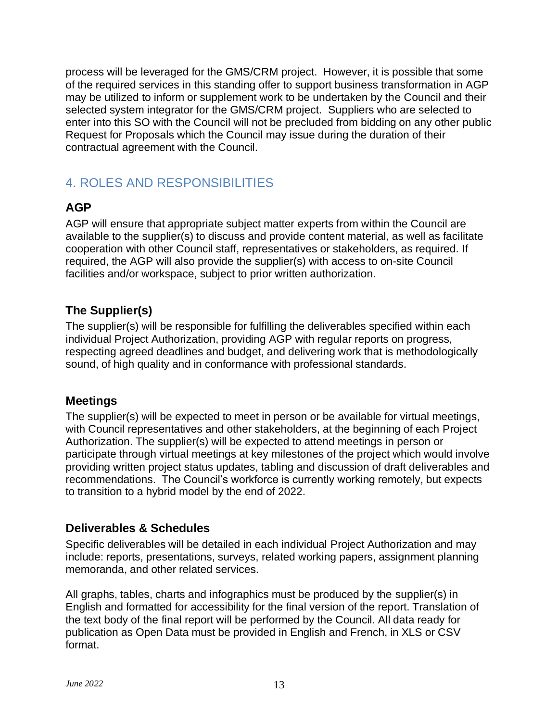process will be leveraged for the GMS/CRM project. However, it is possible that some of the required services in this standing offer to support business transformation in AGP may be utilized to inform or supplement work to be undertaken by the Council and their selected system integrator for the GMS/CRM project. Suppliers who are selected to enter into this SO with the Council will not be precluded from bidding on any other public Request for Proposals which the Council may issue during the duration of their contractual agreement with the Council.

# <span id="page-12-0"></span>4. ROLES AND RESPONSIBILITIES

## <span id="page-12-1"></span>**AGP**

AGP will ensure that appropriate subject matter experts from within the Council are available to the supplier(s) to discuss and provide content material, as well as facilitate cooperation with other Council staff, representatives or stakeholders, as required. If required, the AGP will also provide the supplier(s) with access to on-site Council facilities and/or workspace, subject to prior written authorization.

### <span id="page-12-2"></span>**The Supplier(s)**

The supplier(s) will be responsible for fulfilling the deliverables specified within each individual Project Authorization, providing AGP with regular reports on progress, respecting agreed deadlines and budget, and delivering work that is methodologically sound, of high quality and in conformance with professional standards.

#### <span id="page-12-3"></span>**Meetings**

The supplier(s) will be expected to meet in person or be available for virtual meetings, with Council representatives and other stakeholders, at the beginning of each Project Authorization. The supplier(s) will be expected to attend meetings in person or participate through virtual meetings at key milestones of the project which would involve providing written project status updates, tabling and discussion of draft deliverables and recommendations. The Council's workforce is currently working remotely, but expects to transition to a hybrid model by the end of 2022.

### <span id="page-12-4"></span>**Deliverables & Schedules**

Specific deliverables will be detailed in each individual Project Authorization and may include: reports, presentations, surveys, related working papers, assignment planning memoranda, and other related services.

All graphs, tables, charts and infographics must be produced by the supplier(s) in English and formatted for accessibility for the final version of the report. Translation of the text body of the final report will be performed by the Council. All data ready for publication as Open Data must be provided in English and French, in XLS or CSV format.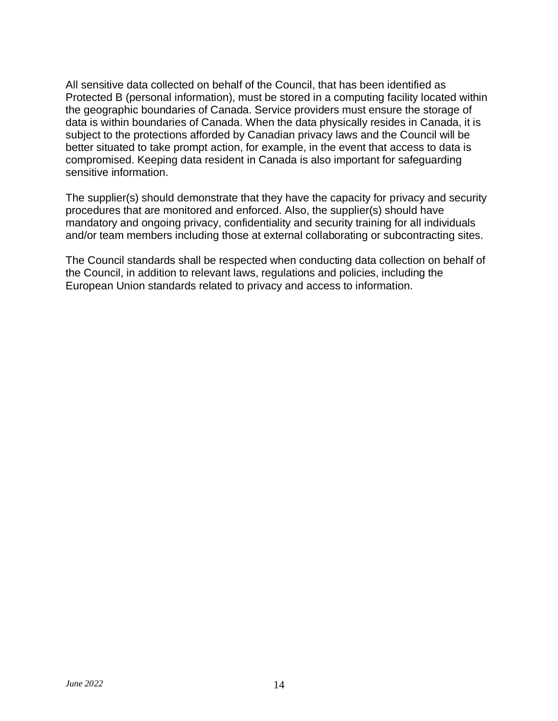All sensitive data collected on behalf of the Council, that has been identified as Protected B (personal information), must be stored in a computing facility located within the geographic boundaries of Canada. Service providers must ensure the storage of data is within boundaries of Canada. When the data physically resides in Canada, it is subject to the protections afforded by Canadian privacy laws and the Council will be better situated to take prompt action, for example, in the event that access to data is compromised. Keeping data resident in Canada is also important for safeguarding sensitive information.

The supplier(s) should demonstrate that they have the capacity for privacy and security procedures that are monitored and enforced. Also, the supplier(s) should have mandatory and ongoing privacy, confidentiality and security training for all individuals and/or team members including those at external collaborating or subcontracting sites.

The Council standards shall be respected when conducting data collection on behalf of the Council, in addition to relevant laws, regulations and policies, including the European Union standards related to privacy and access to information.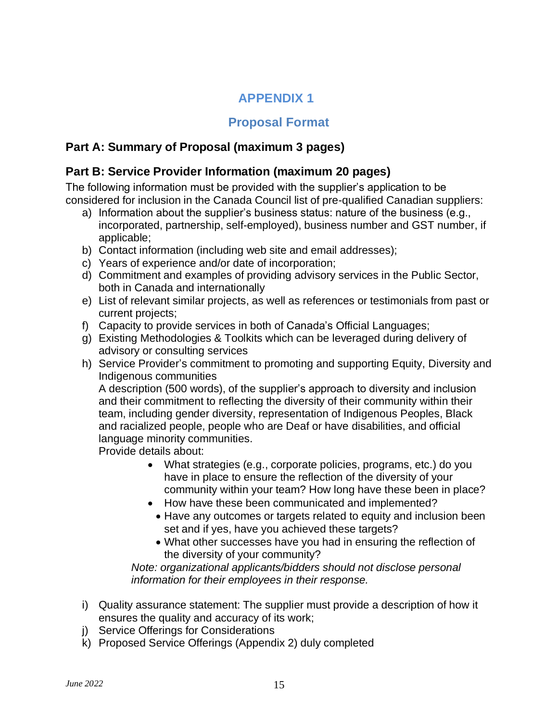# **APPENDIX 1**

### **Proposal Format**

## <span id="page-14-1"></span><span id="page-14-0"></span>**Part A: Summary of Proposal (maximum 3 pages)**

### <span id="page-14-2"></span>**Part B: Service Provider Information (maximum 20 pages)**

The following information must be provided with the supplier's application to be considered for inclusion in the Canada Council list of pre-qualified Canadian suppliers:

- a) Information about the supplier's business status: nature of the business (e.g., incorporated, partnership, self-employed), business number and GST number, if applicable;
- b) Contact information (including web site and email addresses);
- c) Years of experience and/or date of incorporation;
- d) Commitment and examples of providing advisory services in the Public Sector, both in Canada and internationally
- e) List of relevant similar projects, as well as references or testimonials from past or current projects;
- f) Capacity to provide services in both of Canada's Official Languages;
- g) Existing Methodologies & Toolkits which can be leveraged during delivery of advisory or consulting services
- h) Service Provider's commitment to promoting and supporting Equity, Diversity and Indigenous communities

A description (500 words), of the supplier's approach to diversity and inclusion and their commitment to reflecting the diversity of their community within their team, including gender diversity, representation of Indigenous Peoples, Black and racialized people, people who are Deaf or have disabilities, and official language minority communities.

Provide details about:

- What strategies (e.g., corporate policies, programs, etc.) do you have in place to ensure the reflection of the diversity of your community within your team? How long have these been in place?
- How have these been communicated and implemented?
	- Have any outcomes or targets related to equity and inclusion been set and if yes, have you achieved these targets?
	- What other successes have you had in ensuring the reflection of the diversity of your community?

*Note: organizational applicants/bidders should not disclose personal information for their employees in their response.*

- i) Quality assurance statement: The supplier must provide a description of how it ensures the quality and accuracy of its work;
- j) Service Offerings for Considerations
- k) Proposed Service Offerings (Appendix 2) duly completed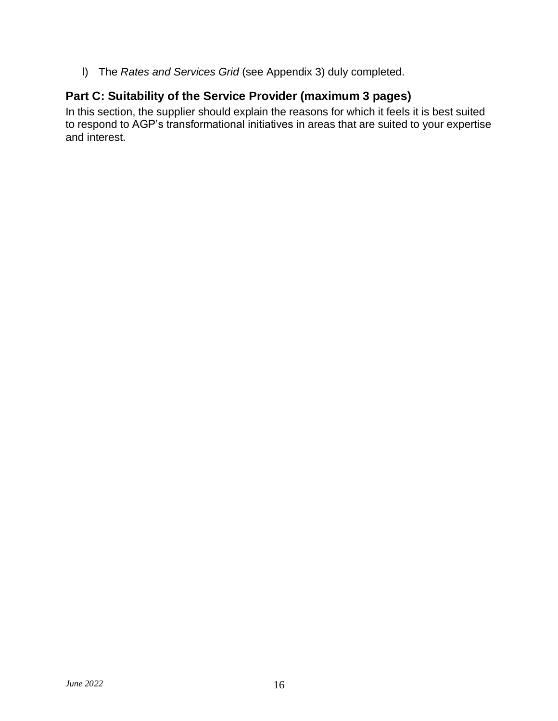l) The *Rates and Services Grid* (see Appendix 3) duly completed.

## <span id="page-15-0"></span>**Part C: Suitability of the Service Provider (maximum 3 pages)**

In this section, the supplier should explain the reasons for which it feels it is best suited to respond to AGP's transformational initiatives in areas that are suited to your expertise and interest.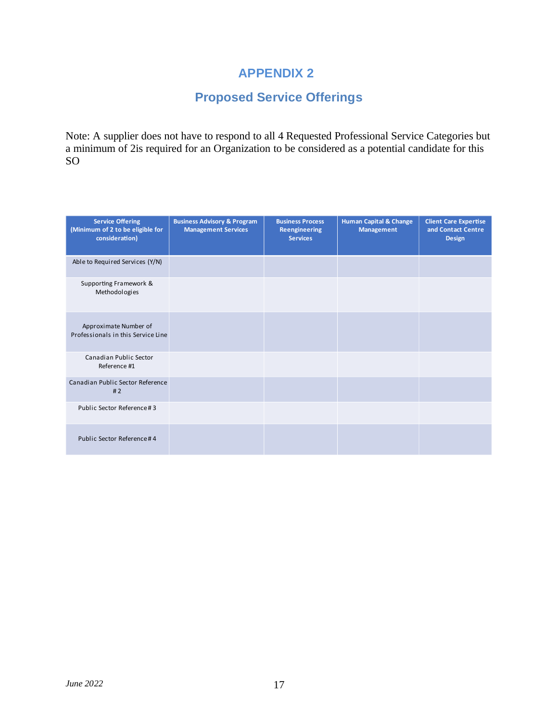## **APPENDIX 2**

# **Proposed Service Offerings**

<span id="page-16-0"></span>Note: A supplier does not have to respond to all 4 Requested Professional Service Categories but a minimum of 2is required for an Organization to be considered as a potential candidate for this SO

| <b>Service Offering</b><br>(Minimum of 2 to be eligible for<br>consideration) | <b>Business Advisory &amp; Program</b><br><b>Management Services</b> | <b>Business Process</b><br><b>Reengineering</b><br><b>Services</b> | <b>Human Capital &amp; Change</b><br><b>Management</b> | <b>Client Care Expertise</b><br>and Contact Centre<br><b>Design</b> |
|-------------------------------------------------------------------------------|----------------------------------------------------------------------|--------------------------------------------------------------------|--------------------------------------------------------|---------------------------------------------------------------------|
| Able to Required Services (Y/N)                                               |                                                                      |                                                                    |                                                        |                                                                     |
| Supporting Framework &<br>Methodologies                                       |                                                                      |                                                                    |                                                        |                                                                     |
| Approximate Number of<br>Professionals in this Service Line                   |                                                                      |                                                                    |                                                        |                                                                     |
| Canadian Public Sector<br>Reference #1                                        |                                                                      |                                                                    |                                                        |                                                                     |
| Canadian Public Sector Reference<br>#2                                        |                                                                      |                                                                    |                                                        |                                                                     |
| Public Sector Reference #3                                                    |                                                                      |                                                                    |                                                        |                                                                     |
| Public Sector Reference #4                                                    |                                                                      |                                                                    |                                                        |                                                                     |